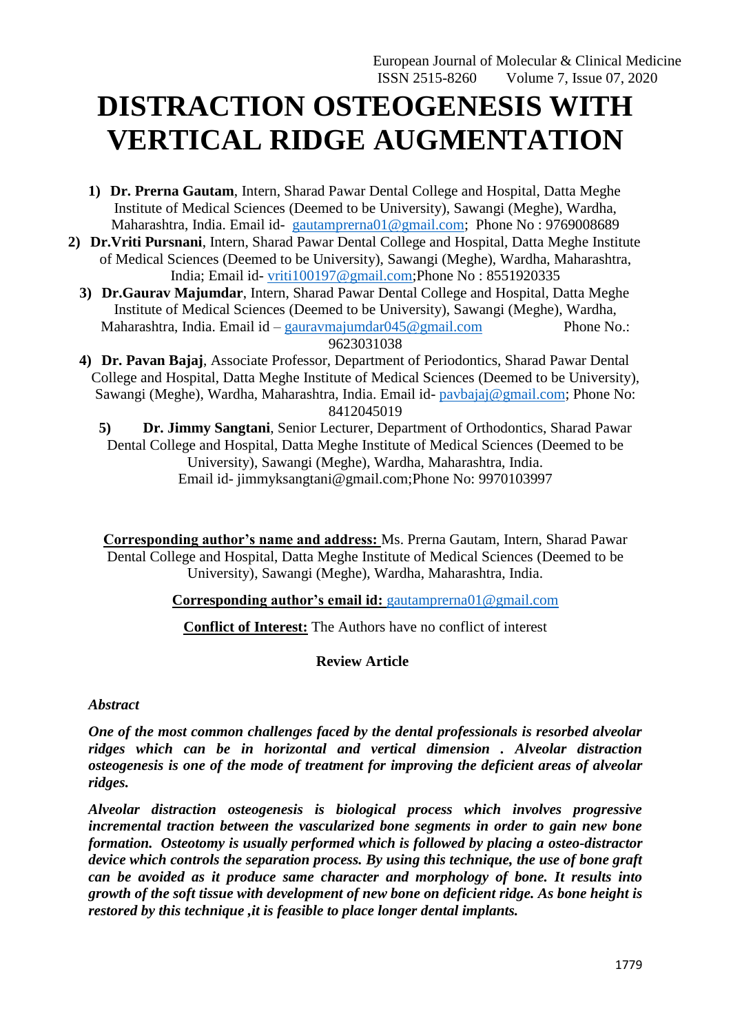# **DISTRACTION OSTEOGENESIS WITH VERTICAL RIDGE AUGMENTATION**

- **1) Dr. Prerna Gautam**, Intern, Sharad Pawar Dental College and Hospital, Datta Meghe Institute of Medical Sciences (Deemed to be University), Sawangi (Meghe), Wardha, Maharashtra, India. Email id- [gautamprerna01@gmail.com;](mailto:gautamprerna01@gmail.com) Phone No : 9769008689
- **2) Dr.Vriti Pursnani**, Intern, Sharad Pawar Dental College and Hospital, Datta Meghe Institute of Medical Sciences (Deemed to be University), Sawangi (Meghe), Wardha, Maharashtra, India; Email id- [vriti100197@gmail.com;](mailto:vriti100197@gmail.com)Phone No : 8551920335
	- **3) Dr.Gaurav Majumdar**, Intern, Sharad Pawar Dental College and Hospital, Datta Meghe Institute of Medical Sciences (Deemed to be University), Sawangi (Meghe), Wardha, Maharashtra, India. Email id – [gauravmajumdar045@gmail.com](mailto:gauravmajumdar045@gmail.com) Phone No.: 9623031038
	- **4) Dr. Pavan Bajaj**, Associate Professor, Department of Periodontics, Sharad Pawar Dental College and Hospital, Datta Meghe Institute of Medical Sciences (Deemed to be University), Sawangi (Meghe), Wardha, Maharashtra, India. Email id- [pavbajaj@gmail.com;](mailto:pavbajaj@gmail.com) Phone No: 8412045019
		- **5) Dr. Jimmy Sangtani**, Senior Lecturer, Department of Orthodontics, Sharad Pawar Dental College and Hospital, Datta Meghe Institute of Medical Sciences (Deemed to be University), Sawangi (Meghe), Wardha, Maharashtra, India. Email id- jimmyksangtani@gmail.com;Phone No: 9970103997

**Corresponding author's name and address:** Ms. Prerna Gautam, Intern, Sharad Pawar Dental College and Hospital, Datta Meghe Institute of Medical Sciences (Deemed to be University), Sawangi (Meghe), Wardha, Maharashtra, India.

**Corresponding author's email id:** [gautamprerna01@gmail.com](mailto:gautamprerna01@gmail.com)

**Conflict of Interest:** The Authors have no conflict of interest

# **Review Article**

## *Abstract*

*One of the most common challenges faced by the dental professionals is resorbed alveolar ridges which can be in horizontal and vertical dimension . Alveolar distraction osteogenesis is one of the mode of treatment for improving the deficient areas of alveolar ridges.* 

*Alveolar distraction osteogenesis is biological process which involves progressive incremental traction between the vascularized bone segments in order to gain new bone formation. Osteotomy is usually performed which is followed by placing a osteo-distractor device which controls the separation process. By using this technique, the use of bone graft can be avoided as it produce same character and morphology of bone. It results into growth of the soft tissue with development of new bone on deficient ridge. As bone height is restored by this technique ,it is feasible to place longer dental implants.*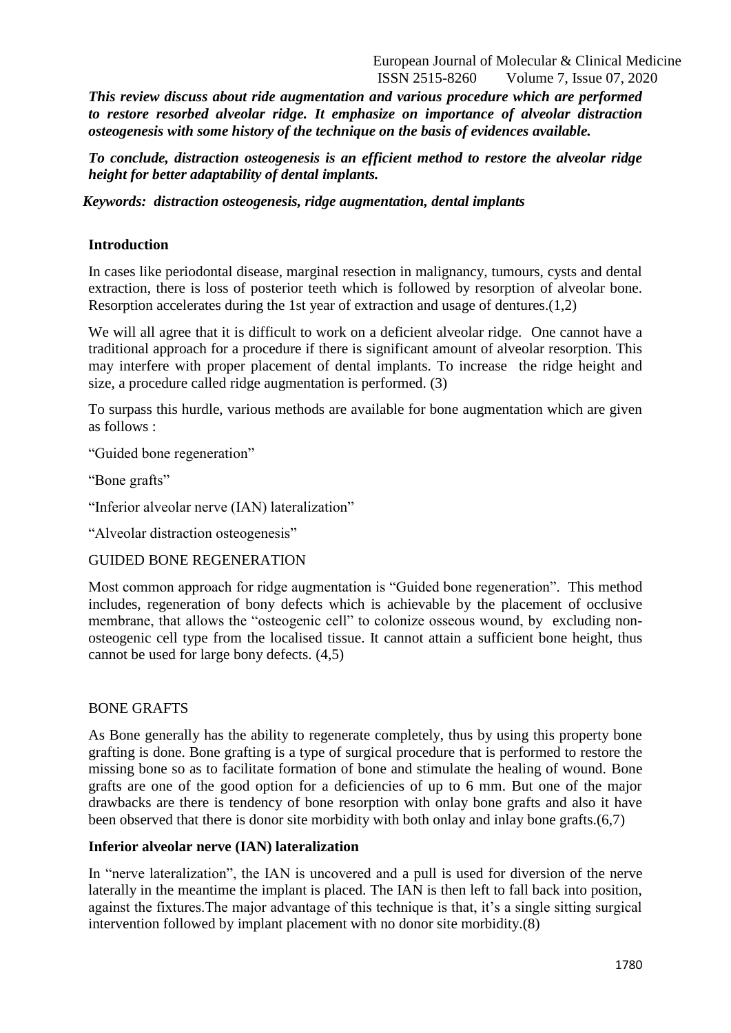*This review discuss about ride augmentation and various procedure which are performed to restore resorbed alveolar ridge. It emphasize on importance of alveolar distraction osteogenesis with some history of the technique on the basis of evidences available.* 

*To conclude, distraction osteogenesis is an efficient method to restore the alveolar ridge height for better adaptability of dental implants.*

*Keywords: distraction osteogenesis, ridge augmentation, dental implants*

# **Introduction**

In cases like periodontal disease, marginal resection in malignancy, tumours, cysts and dental extraction, there is loss of posterior teeth which is followed by resorption of alveolar bone. Resorption accelerates during the 1st year of extraction and usage of dentures.(1,2)

We will all agree that it is difficult to work on a deficient alveolar ridge. One cannot have a traditional approach for a procedure if there is significant amount of alveolar resorption. This may interfere with proper placement of dental implants. To increase the ridge height and size, a procedure called ridge augmentation is performed. (3)

To surpass this hurdle, various methods are available for bone augmentation which are given as follows :

"Guided bone regeneration"

"Bone grafts"

"Inferior alveolar nerve (IAN) lateralization"

"Alveolar distraction osteogenesis"

### GUIDED BONE REGENERATION

Most common approach for ridge augmentation is "Guided bone regeneration". This method includes, regeneration of bony defects which is achievable by the placement of occlusive membrane, that allows the "osteogenic cell" to colonize osseous wound, by excluding nonosteogenic cell type from the localised tissue. It cannot attain a sufficient bone height, thus cannot be used for large bony defects. (4,5)

## BONE GRAFTS

As Bone generally has the ability to regenerate completely, thus by using this property bone grafting is done. Bone grafting is a type of surgical procedure that is performed to restore the missing bone so as to facilitate formation of bone and stimulate the healing of wound. Bone grafts are one of the good option for a deficiencies of up to 6 mm. But one of the major drawbacks are there is tendency of bone resorption with onlay bone grafts and also it have been observed that there is donor site morbidity with both onlay and inlay bone grafts.(6,7)

### **Inferior alveolar nerve (IAN) lateralization**

In "nerve lateralization", the IAN is uncovered and a pull is used for diversion of the nerve laterally in the meantime the implant is placed. The IAN is then left to fall back into position, against the fixtures.The major advantage of this technique is that, it's a single sitting surgical intervention followed by implant placement with no donor site morbidity.(8)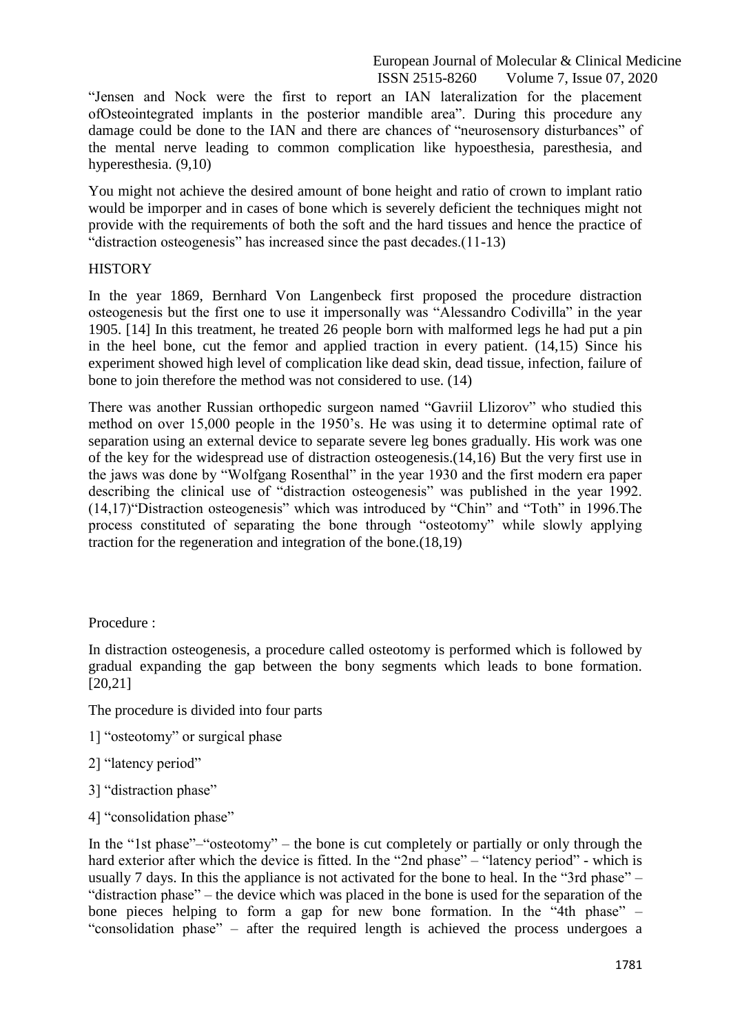"Jensen and Nock were the first to report an IAN lateralization for the placement ofOsteointegrated implants in the posterior mandible area". During this procedure any damage could be done to the IAN and there are chances of "neurosensory disturbances" of the mental nerve leading to common complication like hypoesthesia, paresthesia, and hyperesthesia. (9,10)

You might not achieve the desired amount of bone height and ratio of crown to implant ratio would be imporper and in cases of bone which is severely deficient the techniques might not provide with the requirements of both the soft and the hard tissues and hence the practice of "distraction osteogenesis" has increased since the past decades.(11-13)

## **HISTORY**

In the year 1869, Bernhard Von Langenbeck first proposed the procedure distraction osteogenesis but the first one to use it impersonally was "Alessandro Codivilla" in the year 1905. [14] In this treatment, he treated 26 people born with malformed legs he had put a pin in the heel bone, cut the femor and applied traction in every patient. (14,15) Since his experiment showed high level of complication like dead skin, dead tissue, infection, failure of bone to join therefore the method was not considered to use. (14)

There was another Russian orthopedic surgeon named "Gavriil Llizorov" who studied this method on over 15,000 people in the 1950's. He was using it to determine optimal rate of separation using an external device to separate severe leg bones gradually. His work was one of the key for the widespread use of distraction osteogenesis.(14,16) But the very first use in the jaws was done by "Wolfgang Rosenthal" in the year 1930 and the first modern era paper describing the clinical use of "distraction osteogenesis" was published in the year 1992. (14,17)"Distraction osteogenesis" which was introduced by "Chin" and "Toth" in 1996.The process constituted of separating the bone through "osteotomy" while slowly applying traction for the regeneration and integration of the bone.(18,19)

Procedure :

In distraction osteogenesis, a procedure called osteotomy is performed which is followed by gradual expanding the gap between the bony segments which leads to bone formation. [20,21]

The procedure is divided into four parts

- 1] "osteotomy" or surgical phase
- 2] "latency period"
- 3] "distraction phase"
- 4] "consolidation phase"

In the "1st phase"–"osteotomy" – the bone is cut completely or partially or only through the hard exterior after which the device is fitted. In the "2nd phase" – "latency period" - which is usually 7 days. In this the appliance is not activated for the bone to heal. In the "3rd phase" – "distraction phase" – the device which was placed in the bone is used for the separation of the bone pieces helping to form a gap for new bone formation. In the "4th phase" – "consolidation phase" – after the required length is achieved the process undergoes a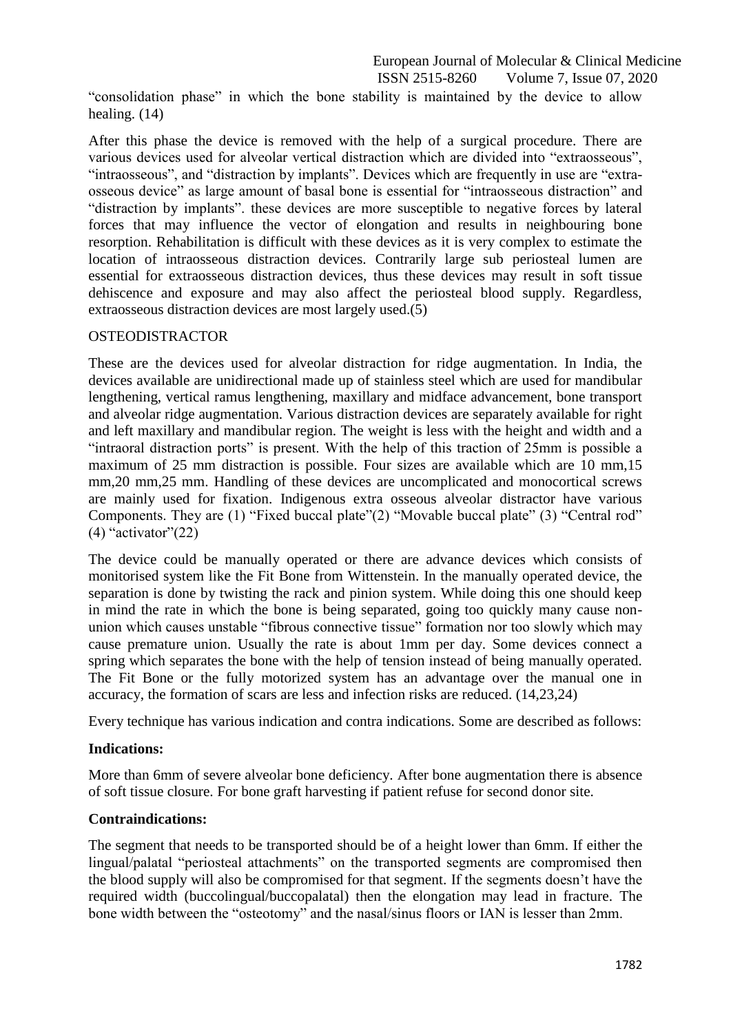"consolidation phase" in which the bone stability is maintained by the device to allow healing. (14)

After this phase the device is removed with the help of a surgical procedure. There are various devices used for alveolar vertical distraction which are divided into "extraosseous", "intraosseous", and "distraction by implants". Devices which are frequently in use are "extraosseous device" as large amount of basal bone is essential for "intraosseous distraction" and "distraction by implants". these devices are more susceptible to negative forces by lateral forces that may influence the vector of elongation and results in neighbouring bone resorption. Rehabilitation is difficult with these devices as it is very complex to estimate the location of intraosseous distraction devices. Contrarily large sub periosteal lumen are essential for extraosseous distraction devices, thus these devices may result in soft tissue dehiscence and exposure and may also affect the periosteal blood supply. Regardless, extraosseous distraction devices are most largely used.(5)

# OSTEODISTRACTOR

These are the devices used for alveolar distraction for ridge augmentation. In India, the devices available are unidirectional made up of stainless steel which are used for mandibular lengthening, vertical ramus lengthening, maxillary and midface advancement, bone transport and alveolar ridge augmentation. Various distraction devices are separately available for right and left maxillary and mandibular region. The weight is less with the height and width and a "intraoral distraction ports" is present. With the help of this traction of 25mm is possible a maximum of 25 mm distraction is possible. Four sizes are available which are 10 mm,15 mm,20 mm,25 mm. Handling of these devices are uncomplicated and monocortical screws are mainly used for fixation. Indigenous extra osseous alveolar distractor have various Components. They are (1) "Fixed buccal plate"(2) "Movable buccal plate" (3) "Central rod"  $(4)$  "activator" $(22)$ 

The device could be manually operated or there are advance devices which consists of monitorised system like the Fit Bone from Wittenstein. In the manually operated device, the separation is done by twisting the rack and pinion system. While doing this one should keep in mind the rate in which the bone is being separated, going too quickly many cause nonunion which causes unstable "fibrous connective tissue" formation nor too slowly which may cause premature union. Usually the rate is about 1mm per day. Some devices connect a spring which separates the bone with the help of tension instead of being manually operated. The Fit Bone or the fully motorized system has an advantage over the manual one in accuracy, the formation of scars are less and infection risks are reduced. (14,23,24)

Every technique has various indication and contra indications. Some are described as follows:

## **Indications:**

More than 6mm of severe alveolar bone deficiency. After bone augmentation there is absence of soft tissue closure. For bone graft harvesting if patient refuse for second donor site.

## **Contraindications:**

The segment that needs to be transported should be of a height lower than 6mm. If either the lingual/palatal "periosteal attachments" on the transported segments are compromised then the blood supply will also be compromised for that segment. If the segments doesn't have the required width (buccolingual/buccopalatal) then the elongation may lead in fracture. The bone width between the "osteotomy" and the nasal/sinus floors or IAN is lesser than 2mm.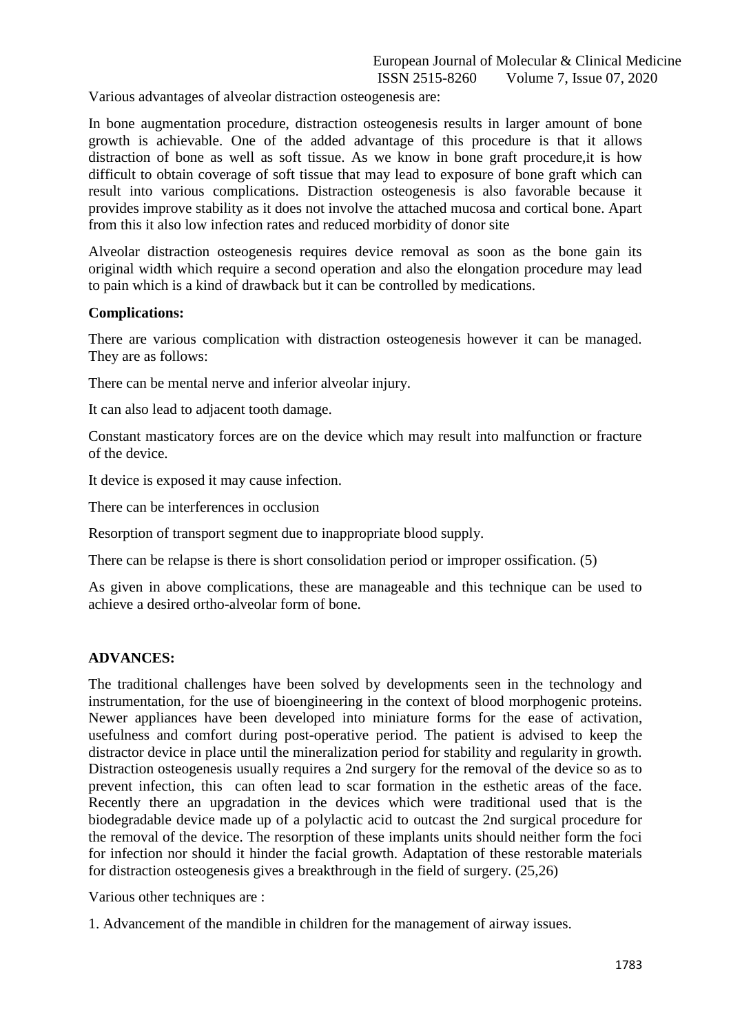Various advantages of alveolar distraction osteogenesis are:

In bone augmentation procedure, distraction osteogenesis results in larger amount of bone growth is achievable. One of the added advantage of this procedure is that it allows distraction of bone as well as soft tissue. As we know in bone graft procedure,it is how difficult to obtain coverage of soft tissue that may lead to exposure of bone graft which can result into various complications. Distraction osteogenesis is also favorable because it provides improve stability as it does not involve the attached mucosa and cortical bone. Apart from this it also low infection rates and reduced morbidity of donor site

Alveolar distraction osteogenesis requires device removal as soon as the bone gain its original width which require a second operation and also the elongation procedure may lead to pain which is a kind of drawback but it can be controlled by medications.

#### **Complications:**

There are various complication with distraction osteogenesis however it can be managed. They are as follows:

There can be mental nerve and inferior alveolar injury.

It can also lead to adjacent tooth damage.

Constant masticatory forces are on the device which may result into malfunction or fracture of the device.

It device is exposed it may cause infection.

There can be interferences in occlusion

Resorption of transport segment due to inappropriate blood supply.

There can be relapse is there is short consolidation period or improper ossification. (5)

As given in above complications, these are manageable and this technique can be used to achieve a desired ortho-alveolar form of bone.

#### **ADVANCES:**

The traditional challenges have been solved by developments seen in the technology and instrumentation, for the use of bioengineering in the context of blood morphogenic proteins. Newer appliances have been developed into miniature forms for the ease of activation, usefulness and comfort during post-operative period. The patient is advised to keep the distractor device in place until the mineralization period for stability and regularity in growth. Distraction osteogenesis usually requires a 2nd surgery for the removal of the device so as to prevent infection, this can often lead to scar formation in the esthetic areas of the face. Recently there an upgradation in the devices which were traditional used that is the biodegradable device made up of a polylactic acid to outcast the 2nd surgical procedure for the removal of the device. The resorption of these implants units should neither form the foci for infection nor should it hinder the facial growth. Adaptation of these restorable materials for distraction osteogenesis gives a breakthrough in the field of surgery. (25,26)

Various other techniques are :

1. Advancement of the mandible in children for the management of airway issues.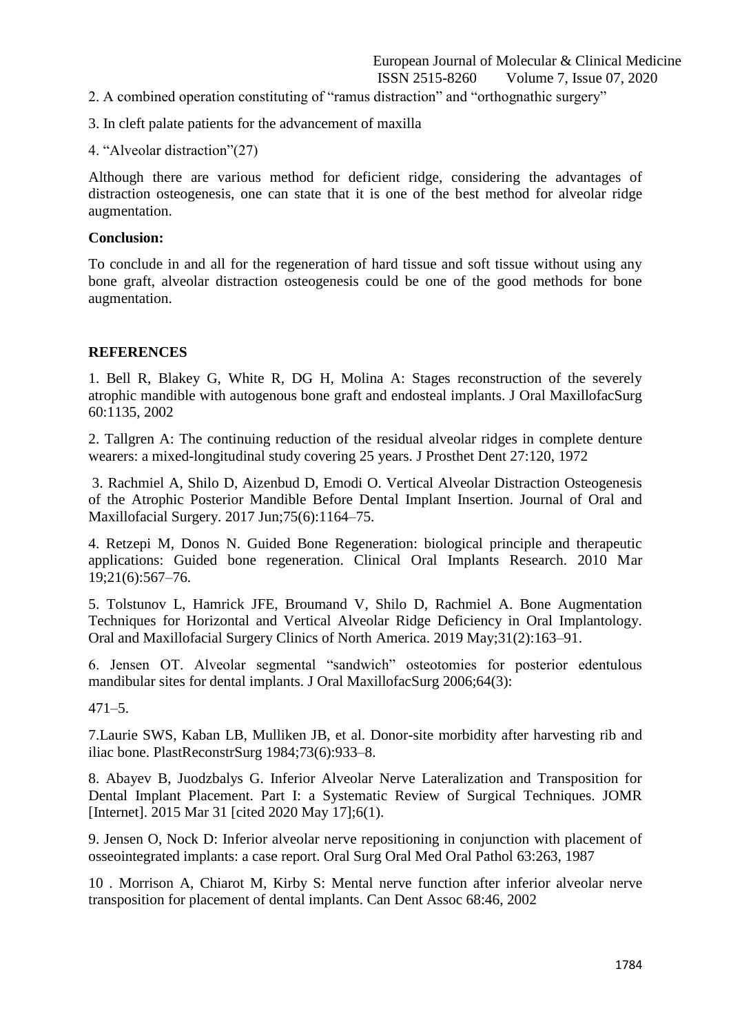- 2. A combined operation constituting of "ramus distraction" and "orthognathic surgery"
- 3. In cleft palate patients for the advancement of maxilla
- 4. "Alveolar distraction"(27)

Although there are various method for deficient ridge, considering the advantages of distraction osteogenesis, one can state that it is one of the best method for alveolar ridge augmentation.

## **Conclusion:**

To conclude in and all for the regeneration of hard tissue and soft tissue without using any bone graft, alveolar distraction osteogenesis could be one of the good methods for bone augmentation.

## **REFERENCES**

1. Bell R, Blakey G, White R, DG H, Molina A: Stages reconstruction of the severely atrophic mandible with autogenous bone graft and endosteal implants. J Oral MaxillofacSurg 60:1135, 2002

2. Tallgren A: The continuing reduction of the residual alveolar ridges in complete denture wearers: a mixed-longitudinal study covering 25 years. J Prosthet Dent 27:120, 1972

3. Rachmiel A, Shilo D, Aizenbud D, Emodi O. Vertical Alveolar Distraction Osteogenesis of the Atrophic Posterior Mandible Before Dental Implant Insertion. Journal of Oral and Maxillofacial Surgery. 2017 Jun;75(6):1164–75.

4. Retzepi M, Donos N. Guided Bone Regeneration: biological principle and therapeutic applications: Guided bone regeneration. Clinical Oral Implants Research. 2010 Mar 19;21(6):567–76.

5. Tolstunov L, Hamrick JFE, Broumand V, Shilo D, Rachmiel A. Bone Augmentation Techniques for Horizontal and Vertical Alveolar Ridge Deficiency in Oral Implantology. Oral and Maxillofacial Surgery Clinics of North America. 2019 May;31(2):163–91.

6. Jensen OT. Alveolar segmental "sandwich" osteotomies for posterior edentulous mandibular sites for dental implants. J Oral MaxillofacSurg 2006;64(3):

 $471 - 5$ 

7.Laurie SWS, Kaban LB, Mulliken JB, et al. Donor-site morbidity after harvesting rib and iliac bone. PlastReconstrSurg 1984;73(6):933–8.

8. Abayev B, Juodzbalys G. Inferior Alveolar Nerve Lateralization and Transposition for Dental Implant Placement. Part I: a Systematic Review of Surgical Techniques. JOMR [Internet]. 2015 Mar 31 [cited 2020 May 17];6(1).

9. Jensen O, Nock D: Inferior alveolar nerve repositioning in conjunction with placement of osseointegrated implants: a case report. Oral Surg Oral Med Oral Pathol 63:263, 1987

10 . Morrison A, Chiarot M, Kirby S: Mental nerve function after inferior alveolar nerve transposition for placement of dental implants. Can Dent Assoc 68:46, 2002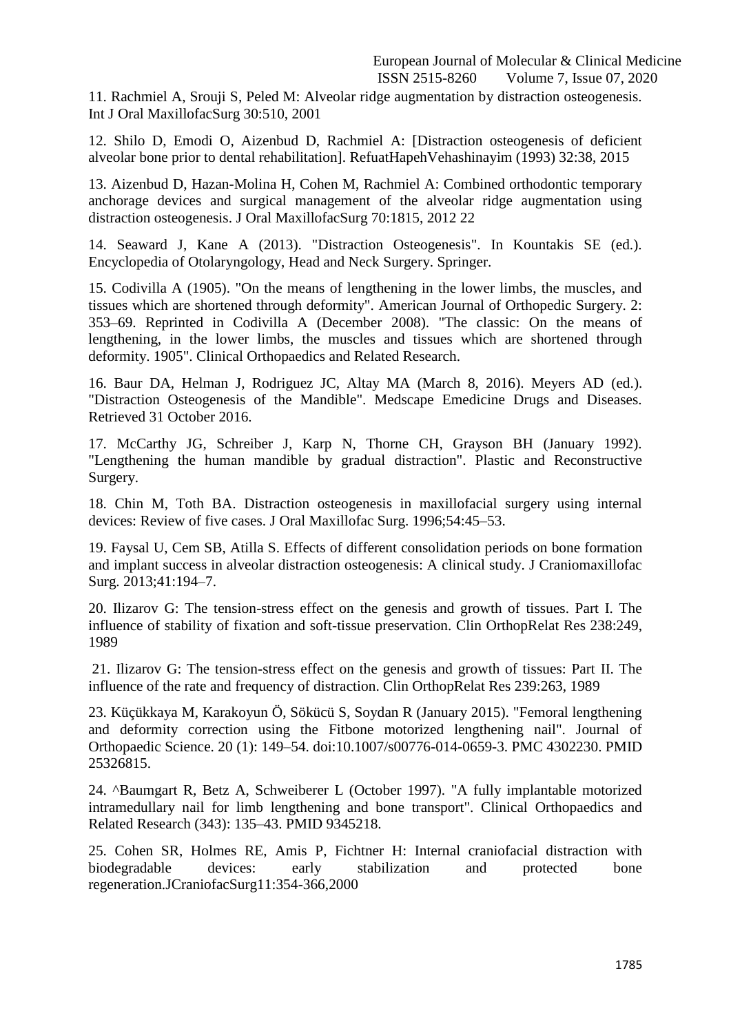11. Rachmiel A, Srouji S, Peled M: Alveolar ridge augmentation by distraction osteogenesis. Int J Oral MaxillofacSurg 30:510, 2001

12. Shilo D, Emodi O, Aizenbud D, Rachmiel A: [Distraction osteogenesis of deficient alveolar bone prior to dental rehabilitation]. RefuatHapehVehashinayim (1993) 32:38, 2015

13. Aizenbud D, Hazan-Molina H, Cohen M, Rachmiel A: Combined orthodontic temporary anchorage devices and surgical management of the alveolar ridge augmentation using distraction osteogenesis. J Oral MaxillofacSurg 70:1815, 2012 22

14. Seaward J, Kane A (2013). "Distraction Osteogenesis". In Kountakis SE (ed.). Encyclopedia of Otolaryngology, Head and Neck Surgery. Springer.

15. Codivilla A (1905). "On the means of lengthening in the lower limbs, the muscles, and tissues which are shortened through deformity". American Journal of Orthopedic Surgery. 2: 353–69. Reprinted in Codivilla A (December 2008). "The classic: On the means of lengthening, in the lower limbs, the muscles and tissues which are shortened through deformity. 1905". Clinical Orthopaedics and Related Research.

16. Baur DA, Helman J, Rodriguez JC, Altay MA (March 8, 2016). Meyers AD (ed.). "Distraction Osteogenesis of the Mandible". Medscape Emedicine Drugs and Diseases. Retrieved 31 October 2016.

17. McCarthy JG, Schreiber J, Karp N, Thorne CH, Grayson BH (January 1992). "Lengthening the human mandible by gradual distraction". Plastic and Reconstructive Surgery.

18. Chin M, Toth BA. Distraction osteogenesis in maxillofacial surgery using internal devices: Review of five cases. J Oral Maxillofac Surg. 1996;54:45–53.

19. Faysal U, Cem SB, Atilla S. Effects of different consolidation periods on bone formation and implant success in alveolar distraction osteogenesis: A clinical study. J Craniomaxillofac Surg. 2013;41:194–7.

20. Ilizarov G: The tension-stress effect on the genesis and growth of tissues. Part I. The influence of stability of fixation and soft-tissue preservation. Clin OrthopRelat Res 238:249, 1989

21. Ilizarov G: The tension-stress effect on the genesis and growth of tissues: Part II. The influence of the rate and frequency of distraction. Clin OrthopRelat Res 239:263, 1989

23. Küçükkaya M, Karakoyun Ö, Sökücü S, Soydan R (January 2015). "Femoral lengthening and deformity correction using the Fitbone motorized lengthening nail". Journal of Orthopaedic Science. 20 (1): 149–54. doi:10.1007/s00776-014-0659-3. PMC 4302230. PMID 25326815.

24. ^Baumgart R, Betz A, Schweiberer L (October 1997). "A fully implantable motorized intramedullary nail for limb lengthening and bone transport". Clinical Orthopaedics and Related Research (343): 135–43. PMID 9345218.

25. Cohen SR, Holmes RE, Amis P, Fichtner H: Internal craniofacial distraction with biodegradable devices: early stabilization and protected bone regeneration.JCraniofacSurg11:354-366,2000